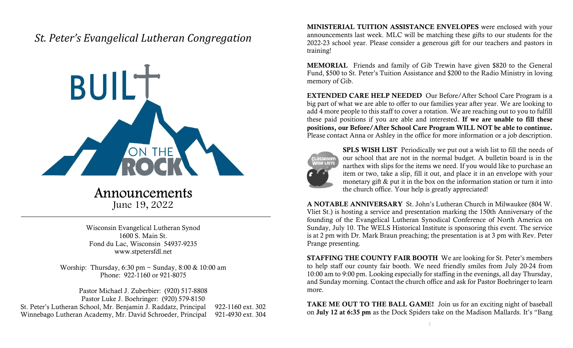## St. Peter's Evangelical Lutheran Congregation



## Announcements

June 19, 2022

Wisconsin Evangelical Lutheran Synod 1600 S. Main St. Fond du Lac, Wisconsin 54937-9235 www.stpetersfdl.net

Worship: Thursday, 6:30 pm ~ Sunday, 8:00 & 10:00 am Phone: 922-1160 or 921-8075

Pastor Michael J. Zuberbier: (920) 517-8808 Pastor Luke J. Boehringer: (920) 579-8150 St. Peter's Lutheran School, Mr. Benjamin J. Raddatz, Principal 922-1160 ext. 302 Winnebago Lutheran Academy, Mr. David Schroeder, Principal 921-4930 ext. 304 MINISTERIAL TUITION ASSISTANCE ENVELOPES were enclosed with your announcements last week. MLC will be matching these gifts to our students for the 2022-23 school year. Please consider a generous gift for our teachers and pastors in training!

MEMORIAL Friends and family of Gib Trewin have given \$820 to the General Fund, \$500 to St. Peter's Tuition Assistance and \$200 to the Radio Ministry in loving memory of Gib.

EXTENDED CARE HELP NEEDED Our Before/After School Care Program is a big part of what we are able to offer to our families year after year. We are looking to add 4 more people to this staff to cover a rotation. We are reaching out to you to fulfill these paid positions if you are able and interested. If we are unable to fill these positions, our Before/After School Care Program WILL NOT be able to continue. Please contact Anna or Ashley in the office for more information or a job description.



SPLS WISH LIST Periodically we put out a wish list to fill the needs of our school that are not in the normal budget. A bulletin board is in the narthex with slips for the items we need. If you would like to purchase an item or two, take a slip, fill it out, and place it in an envelope with your monetary gift & put it in the box on the information station or turn it into the church office. Your help is greatly appreciated!

A NOTABLE ANNIVERSARY St. John's Lutheran Church in Milwaukee (804 W. Vliet St.) is hosting a service and presentation marking the 150th Anniversary of the founding of the Evangelical Lutheran Synodical Conference of North America on Sunday, July 10. The WELS Historical Institute is sponsoring this event. The service is at 2 pm with Dr. Mark Braun preaching; the presentation is at 3 pm with Rev. Peter Prange presenting.

STAFFING THE COUNTY FAIR BOOTH We are looking for St. Peter's members to help staff our county fair booth. We need friendly smiles from July 20-24 from 10:00 am to 9:00 pm. Looking especially for staffing in the evenings, all day Thursday, and Sunday morning. Contact the church office and ask for Pastor Boehringer to learn more.

TAKE ME OUT TO THE BALL GAME! Join us for an exciting night of baseball on July 12 at 6:35 pm as the Dock Spiders take on the Madison Mallards. It's "Bang